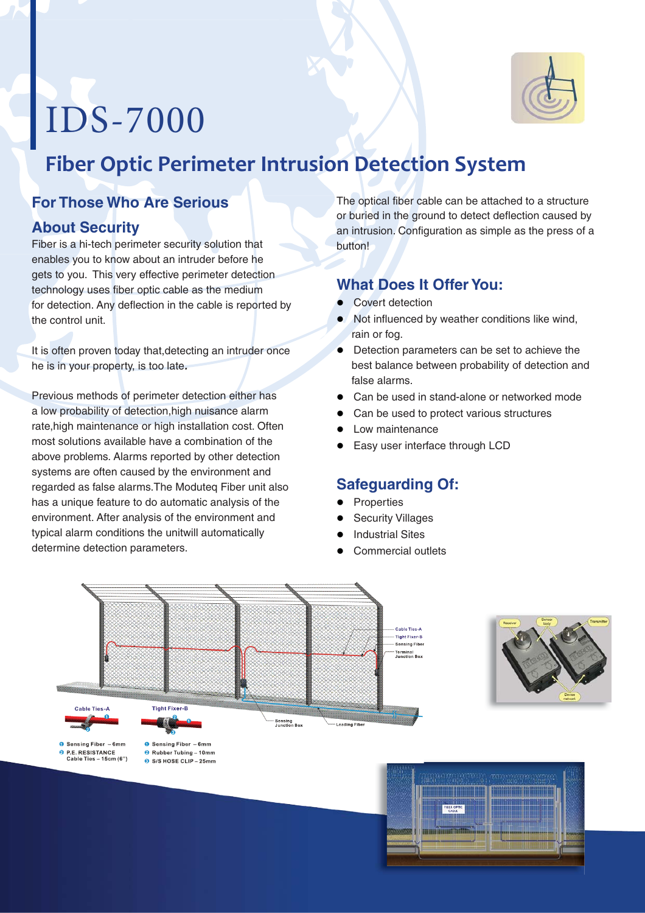# IDS-7000



# **Fiber Optic Perimeter Intrusion Detection System**

## **For Those Who Are Serious**

#### **About Security**

P.E. RESISTANCE<br>Cable Ties - 15cm (6")

Fiber is a hi-tech perimeter security solution that enables you to know about an intruder before he gets to you. This very effective perimeter detection technology uses fiber optic cable as the medium for detection. Any deflection in the cable is reported by the control unit.

It is often proven today that,detecting an intruder once he is in your property, is too late*.*

Previous methods of perimeter detection either has a low probability of detection,high nuisance alarm rate,high maintenance or high installation cost. Often most solutions available have a combination of the above problems. Alarms reported by other detection systems are often caused by the environment and regarded as false alarms.The Moduteq Fiber unit also has a unique feature to do automatic analysis of the environment. After analysis of the environment and typical alarm conditions the unitwill automatically determine detection parameters.

> **8** Rubber Tubing - 10mm S/S HOSE CLIP - 25mm

The optical fiber cable can be attached to a structure or buried in the ground to detect deflection caused by an intrusion. Configuration as simple as the press of a button!

#### **What Does It Offer You:**

- Covert detection
- $\bullet$  Not influenced by weather conditions like wind, rain or fog.
- Detection parameters can be set to achieve the best balance between probability of detection and false alarms.
- **•** Can be used in stand-alone or networked mode
- Can be used to protect various structures
- Low maintenance
- $\bullet$ Easy user interface through LCD

# **Safeguarding Of:**

- **•** Properties
- $\bullet$ Security Villages
- **•** Industrial Sites
- $\bullet$ Commercial outlets